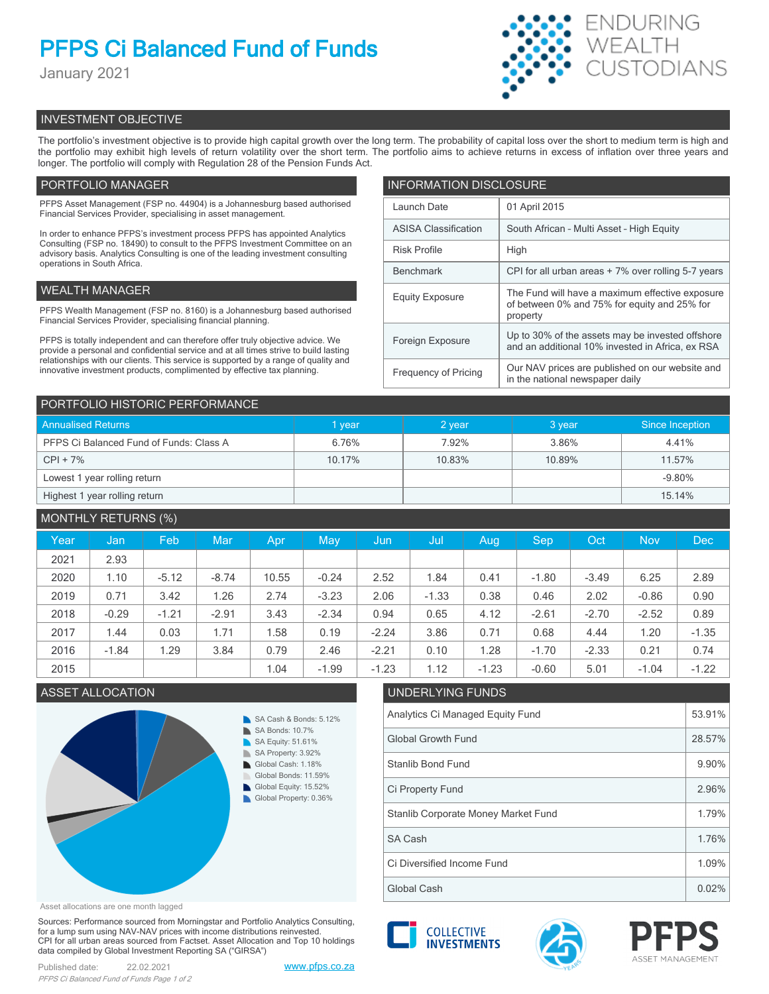## **PFPS Ci Balanced Fund of Funds**

January 2021



## INVESTMENT OBJECTIVE

The portfolio's investment objective is to provide high capital growth over the long term. The probability of capital loss over the short to medium term is high and the portfolio may exhibit high levels of return volatility over the short term. The portfolio aims to achieve returns in excess of inflation over three years and longer. The portfolio will comply with Regulation 28 of the Pension Funds Act.

## PORTFOLIO MANAGER

PFPS Asset Management (FSP no. 44904) is a Johannesburg based authorised Financial Services Provider, specialising in asset management.

In order to enhance PFPS's investment process PFPS has appointed Analytics Consulting (FSP no. 18490) to consult to the PFPS Investment Committee on an advisory basis. Analytics Consulting is one of the leading investment consulting operations in South Africa.

## WEALTH MANAGER

PFPS Wealth Management (FSP no. 8160) is a Johannesburg based authorised Financial Services Provider, specialising financial planning.

PFPS is totally independent and can therefore offer truly objective advice. We provide a personal and confidential service and at all times strive to build lasting relationships with our clients. This service is supported by a range of quality and innovative investment products, complimented by effective tax planning.

| <b>INFORMATION DISCLOSURE</b> |                                                                                                             |  |  |  |
|-------------------------------|-------------------------------------------------------------------------------------------------------------|--|--|--|
| Launch Date                   | 01 April 2015                                                                                               |  |  |  |
| <b>ASISA Classification</b>   | South African - Multi Asset - High Equity                                                                   |  |  |  |
| <b>Risk Profile</b>           | High                                                                                                        |  |  |  |
| <b>Benchmark</b>              | CPI for all urban areas + 7% over rolling 5-7 years                                                         |  |  |  |
| <b>Equity Exposure</b>        | The Fund will have a maximum effective exposure<br>of between 0% and 75% for equity and 25% for<br>property |  |  |  |
| Foreign Exposure              | Up to 30% of the assets may be invested offshore<br>and an additional 10% invested in Africa, ex RSA        |  |  |  |
| <b>Frequency of Pricing</b>   | Our NAV prices are published on our website and<br>in the national newspaper daily                          |  |  |  |

| PORTFOLIO HISTORIC PERFORMANCE          |        |        |        |                 |  |  |
|-----------------------------------------|--------|--------|--------|-----------------|--|--|
| <b>Annualised Returns</b>               | vear   | 2 year | 3 year | Since Inception |  |  |
| PFPS Ci Balanced Fund of Funds: Class A | 6.76%  | 7.92%  | 3.86%  | 4.41%           |  |  |
| $CPI + 7\%$                             | 10.17% | 10.83% | 10.89% | 11.57%          |  |  |
| Lowest 1 year rolling return            |        |        |        | $-9.80%$        |  |  |
| Highest 1 year rolling return           |        |        |        | 15.14%          |  |  |

## MONTHLY RETURNS (%)

| Year | Jan     | Feb     | <b>Mar</b> | <b>Apr</b> | May     | Jun     | Jul     | Aug     | <b>Sep</b> | Oct     | <b>Nov</b> | <b>Dec</b> |
|------|---------|---------|------------|------------|---------|---------|---------|---------|------------|---------|------------|------------|
| 2021 | 2.93    |         |            |            |         |         |         |         |            |         |            |            |
| 2020 | 1.10    | $-5.12$ | $-8.74$    | 10.55      | $-0.24$ | 2.52    | 1.84    | 0.41    | $-1.80$    | $-3.49$ | 6.25       | 2.89       |
| 2019 | 0.71    | 3.42    | 1.26       | 2.74       | $-3.23$ | 2.06    | $-1.33$ | 0.38    | 0.46       | 2.02    | $-0.86$    | 0.90       |
| 2018 | $-0.29$ | $-1.21$ | $-2.91$    | 3.43       | $-2.34$ | 0.94    | 0.65    | 4.12    | $-2.61$    | $-2.70$ | $-2.52$    | 0.89       |
| 2017 | 1.44    | 0.03    | 1.71       | 1.58       | 0.19    | $-2.24$ | 3.86    | 0.71    | 0.68       | 4.44    | 1.20       | $-1.35$    |
| 2016 | $-1.84$ | 1.29    | 3.84       | 0.79       | 2.46    | $-2.21$ | 0.10    | 1.28    | $-1.70$    | $-2.33$ | 0.21       | 0.74       |
| 2015 |         |         |            | 1.04       | $-1.99$ | $-1.23$ | 1.12    | $-1.23$ | $-0.60$    | 5.01    | $-1.04$    | $-1.22$    |

## ASSET ALLOCATION UNDERLYING FUNDS



# Analytics Ci Managed Equity Fund 53.91% Global Growth Fund 28.57%

| $-$                                 | ----- |
|-------------------------------------|-------|
| Stanlib Bond Fund                   | 9.90% |
| Ci Property Fund                    | 2.96% |
| Stanlib Corporate Money Market Fund | 1.79% |
| SA Cash                             | 1.76% |
| Ci Diversified Income Fund          | 1.09% |
| Global Cash                         | 0.02% |

Asset allocations are one month lagged

Sources: Performance sourced from Morningstar and Portfolio Analytics Consulting, for a lump sum using NAV-NAV prices with income distributions reinvested. CPI for all urban areas sourced from Factset. Asset Allocation and Top 10 holdings data compiled by Global Investment Reporting SA ("GIRSA")

Published date: 22.02.2021 [www.pfps.co.za](https://www.pfps.co.za/) *PFPS Ci Balanced Fund of Funds Page 1 of 2*